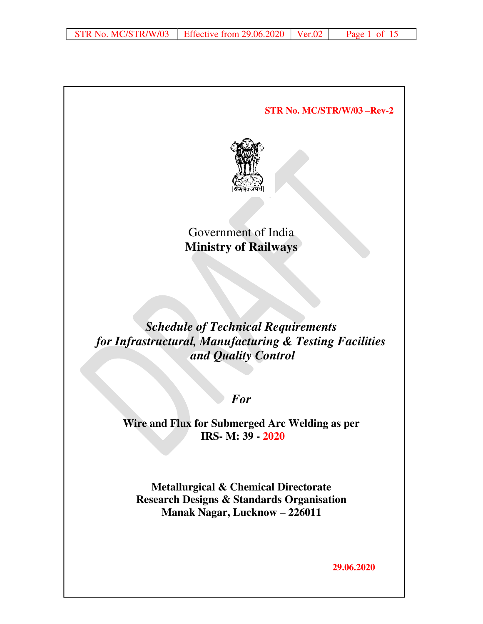**STR No. MC/STR/W/03 –Rev-2**  Government of India **Ministry of Railways**  *Schedule of Technical Requirements for Infrastructural, Manufacturing & Testing Facilities and Quality Control For*  **Wire and Flux for Submerged Arc Welding as per IRS- M: 39 - 2020 Metallurgical & Chemical Directorate Research Designs & Standards Organisation Manak Nagar, Lucknow – 226011** 

**29.06.2020**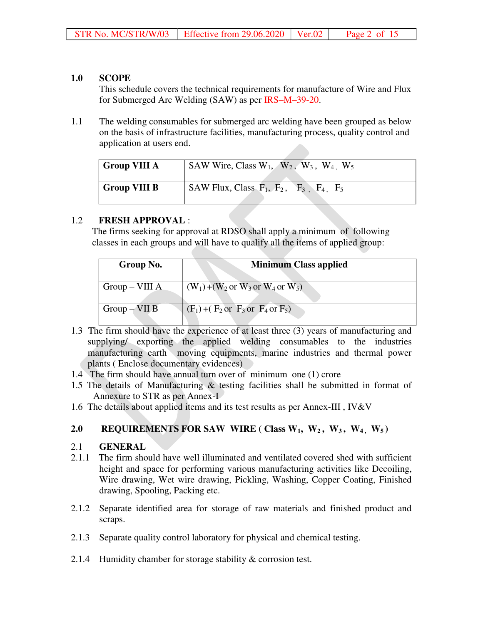## **1.0 SCOPE**

 This schedule covers the technical requirements for manufacture of Wire and Flux for Submerged Arc Welding (SAW) as per IRS–M–39-20.

1.1 The welding consumables for submerged arc welding have been grouped as below on the basis of infrastructure facilities, manufacturing process, quality control and application at users end.

| <b>Group VIII A</b> | SAW Wire, Class $W_1$ , $W_2$ , $W_3$ , $W_4$ , $W_5$ |
|---------------------|-------------------------------------------------------|
| <b>Group VIII B</b> | SAW Flux, Class $F_1$ , $F_2$ , $F_3$ , $F_4$ , $F_5$ |

# 1.2 **FRESH APPROVAL** :

 The firms seeking for approval at RDSO shall apply a minimum of following classes in each groups and will have to qualify all the items of applied group:

| Group No.       | <b>Minimum Class applied</b>                                    |
|-----------------|-----------------------------------------------------------------|
| $Group-VIII$ A  | $(W_1) + (W_2 \text{ or } W_3 \text{ or } W_4 \text{ or } W_5)$ |
| $Group - VII B$ | $(F_1) + (F_2 \text{ or } F_3 \text{ or } F_4 \text{ or } F_5)$ |

- 1.3 The firm should have the experience of at least three (3) years of manufacturing and supplying/ exporting the applied welding consumables to the industries manufacturing earth moving equipments, marine industries and thermal power plants ( Enclose documentary evidences)
- 1.4 The firm should have annual turn over of minimum one (1) crore
- 1.5 The details of Manufacturing & testing facilities shall be submitted in format of Annexure to STR as per Annex-I
- 1.6 The details about applied items and its test results as per Annex-III , IV&V

# **2.0 REQUIREMENTS FOR SAW WIRE ( Class W1, W2 , W3 , W4 , W5 )**

# 2.1 **GENERAL**

- 2.1.1 The firm should have well illuminated and ventilated covered shed with sufficient height and space for performing various manufacturing activities like Decoiling, Wire drawing, Wet wire drawing, Pickling, Washing, Copper Coating, Finished drawing, Spooling, Packing etc.
- 2.1.2 Separate identified area for storage of raw materials and finished product and scraps.
- 2.1.3 Separate quality control laboratory for physical and chemical testing.
- 2.1.4 Humidity chamber for storage stability & corrosion test.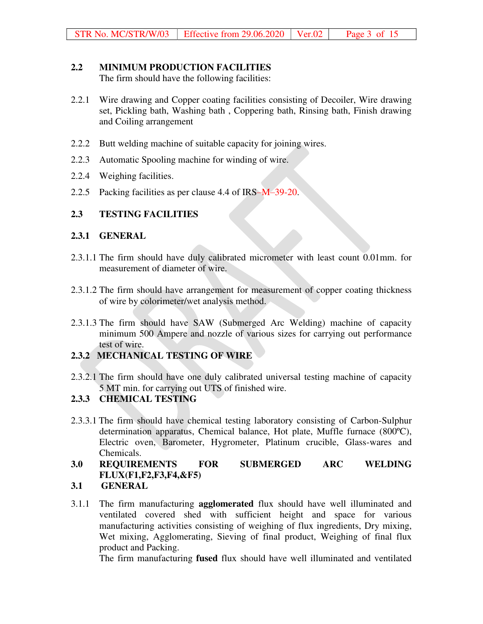## **2.2 MINIMUM PRODUCTION FACILITIES**

The firm should have the following facilities:

- 2.2.1 Wire drawing and Copper coating facilities consisting of Decoiler, Wire drawing set, Pickling bath, Washing bath , Coppering bath, Rinsing bath, Finish drawing and Coiling arrangement
- 2.2.2 Butt welding machine of suitable capacity for joining wires.
- 2.2.3 Automatic Spooling machine for winding of wire.
- 2.2.4 Weighing facilities.
- 2.2.5 Packing facilities as per clause 4.4 of IRS–M–39-20.

## **2.3 TESTING FACILITIES**

#### **2.3.1 GENERAL**

- 2.3.1.1 The firm should have duly calibrated micrometer with least count 0.01mm. for measurement of diameter of wire.
- 2.3.1.2 The firm should have arrangement for measurement of copper coating thickness of wire by colorimeter/wet analysis method.
- 2.3.1.3 The firm should have SAW (Submerged Arc Welding) machine of capacity minimum 500 Ampere and nozzle of various sizes for carrying out performance test of wire.

## **2.3.2 MECHANICAL TESTING OF WIRE**

2.3.2.1 The firm should have one duly calibrated universal testing machine of capacity 5 MT min. for carrying out UTS of finished wire.

## **2.3.3 CHEMICAL TESTING**

2.3.3.1 The firm should have chemical testing laboratory consisting of Carbon-Sulphur determination apparatus, Chemical balance, Hot plate, Muffle furnace (800ºC), Electric oven, Barometer, Hygrometer, Platinum crucible, Glass-wares and Chemicals.

# **3.0 REQUIREMENTS FOR SUBMERGED ARC WELDING FLUX(F1,F2,F3,F4,&F5)**

## **3.1 GENERAL**

3.1.1 The firm manufacturing **agglomerated** flux should have well illuminated and ventilated covered shed with sufficient height and space for various manufacturing activities consisting of weighing of flux ingredients, Dry mixing, Wet mixing, Agglomerating, Sieving of final product, Weighing of final flux product and Packing.

The firm manufacturing **fused** flux should have well illuminated and ventilated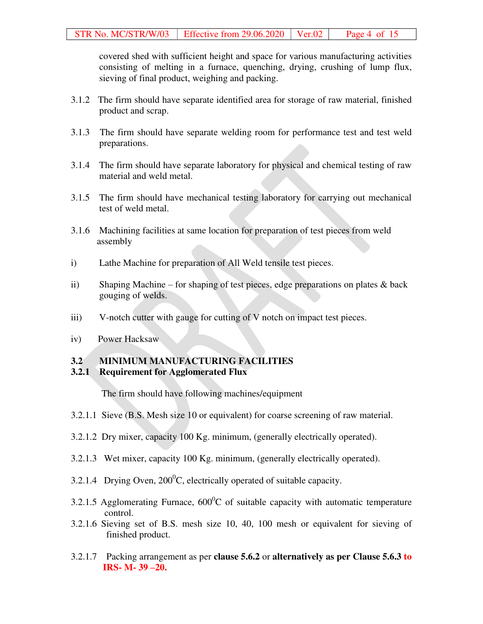covered shed with sufficient height and space for various manufacturing activities consisting of melting in a furnace, quenching, drying, crushing of lump flux, sieving of final product, weighing and packing.

- 3.1.2 The firm should have separate identified area for storage of raw material, finished product and scrap.
- 3.1.3 The firm should have separate welding room for performance test and test weld preparations.
- 3.1.4 The firm should have separate laboratory for physical and chemical testing of raw material and weld metal.
- 3.1.5 The firm should have mechanical testing laboratory for carrying out mechanical test of weld metal.
- 3.1.6 Machining facilities at same location for preparation of test pieces from weld assembly
- i) Lathe Machine for preparation of All Weld tensile test pieces.
- ii) Shaping Machine for shaping of test pieces, edge preparations on plates & back gouging of welds.
- iii) V-notch cutter with gauge for cutting of V notch on impact test pieces.
- iv) Power Hacksaw

#### **3.2 MINIMUM MANUFACTURING FACILITIES**

#### **3.2.1 Requirement for Agglomerated Flux**

The firm should have following machines/equipment

- 3.2.1.1 Sieve (B.S. Mesh size 10 or equivalent) for coarse screening of raw material.
- 3.2.1.2 Dry mixer, capacity 100 Kg. minimum, (generally electrically operated).
- 3.2.1.3 Wet mixer, capacity 100 Kg. minimum, (generally electrically operated).
- 3.2.1.4 Drying Oven,  $200^{\circ}$ C, electrically operated of suitable capacity.
- 3.2.1.5 Agglomerating Furnace,  $600^{\circ}$ C of suitable capacity with automatic temperature control.
- 3.2.1.6 Sieving set of B.S. mesh size 10, 40, 100 mesh or equivalent for sieving of finished product.
- 3.2.1.7 Packing arrangement as per **clause 5.6.2** or **alternatively as per Clause 5.6.3 to IRS- M- 39 –20.**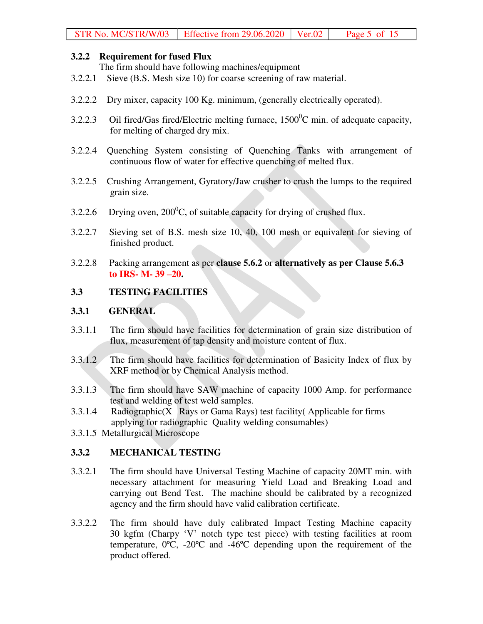## **3.2.2 Requirement for fused Flux**

The firm should have following machines/equipment

- 3.2.2.1 Sieve (B.S. Mesh size 10) for coarse screening of raw material.
- 3.2.2.2 Dry mixer, capacity 100 Kg. minimum, (generally electrically operated).
- 3.2.2.3 Oil fired/Gas fired/Electric melting furnace,  $1500^0C$  min. of adequate capacity, for melting of charged dry mix.
- 3.2.2.4 Quenching System consisting of Quenching Tanks with arrangement of continuous flow of water for effective quenching of melted flux.
- 3.2.2.5 Crushing Arrangement, Gyratory/Jaw crusher to crush the lumps to the required grain size.
- 3.2.2.6 Drying oven,  $200^{\circ}$ C, of suitable capacity for drying of crushed flux.
- 3.2.2.7 Sieving set of B.S. mesh size 10, 40, 100 mesh or equivalent for sieving of finished product.
- 3.2.2.8 Packing arrangement as per **clause 5.6.2** or **alternatively as per Clause 5.6.3 to IRS- M- 39 –20.**

## **3.3 TESTING FACILITIES**

#### **3.3.1 GENERAL**

- 3.3.1.1 The firm should have facilities for determination of grain size distribution of flux, measurement of tap density and moisture content of flux.
- 3.3.1.2 The firm should have facilities for determination of Basicity Index of flux by XRF method or by Chemical Analysis method.
- 3.3.1.3 The firm should have SAW machine of capacity 1000 Amp. for performance test and welding of test weld samples.
- 3.3.1.4 Radiographic( $X$  –Rays or Gama Rays) test facility (Applicable for firms applying for radiographic Quality welding consumables)
- 3.3.1.5 Metallurgical Microscope

## **3.3.2 MECHANICAL TESTING**

- 3.3.2.1 The firm should have Universal Testing Machine of capacity 20MT min. with necessary attachment for measuring Yield Load and Breaking Load and carrying out Bend Test. The machine should be calibrated by a recognized agency and the firm should have valid calibration certificate.
- 3.3.2.2 The firm should have duly calibrated Impact Testing Machine capacity 30 kgfm (Charpy 'V' notch type test piece) with testing facilities at room temperature, 0ºC, -20ºC and -46ºC depending upon the requirement of the product offered.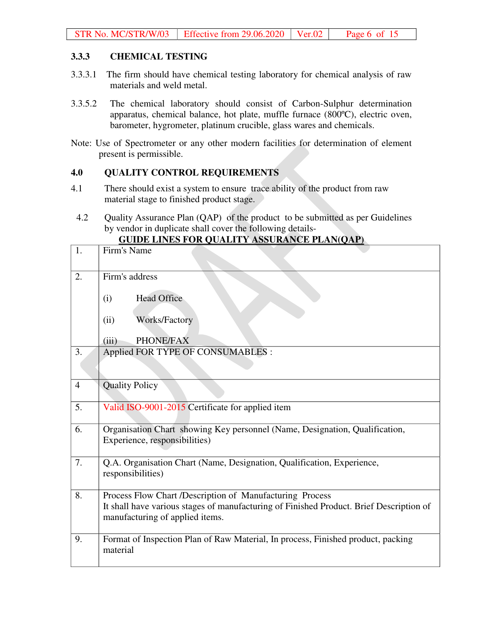#### **3.3.3 CHEMICAL TESTING**

- 3.3.3.1 The firm should have chemical testing laboratory for chemical analysis of raw materials and weld metal.
- 3.3.5.2 The chemical laboratory should consist of Carbon-Sulphur determination apparatus, chemical balance, hot plate, muffle furnace (800ºC), electric oven, barometer, hygrometer, platinum crucible, glass wares and chemicals.
- Note: Use of Spectrometer or any other modern facilities for determination of element present is permissible.

#### **4.0 QUALITY CONTROL REQUIREMENTS**

- 4.1 There should exist a system to ensure trace ability of the product from raw material stage to finished product stage.
- 4.2 Quality Assurance Plan (QAP) of the product to be submitted as per Guidelines by vendor in duplicate shall cover the following details-

| 1.             | Firm's Name                                                                                                                |
|----------------|----------------------------------------------------------------------------------------------------------------------------|
| 2.             | Firm's address                                                                                                             |
|                | <b>Head Office</b><br>(i)                                                                                                  |
|                | <b>Works/Factory</b><br>(ii)                                                                                               |
|                | PHONE/FAX<br>(iii)                                                                                                         |
| 3.             | Applied FOR TYPE OF CONSUMABLES :                                                                                          |
|                |                                                                                                                            |
| $\overline{4}$ | <b>Quality Policy</b>                                                                                                      |
| 5.             | Valid ISO-9001-2015 Certificate for applied item                                                                           |
| 6.             | Organisation Chart showing Key personnel (Name, Designation, Qualification,                                                |
|                | Experience, responsibilities)                                                                                              |
| 7.             | Q.A. Organisation Chart (Name, Designation, Qualification, Experience,<br>responsibilities)                                |
|                |                                                                                                                            |
| 8.             | Process Flow Chart /Description of Manufacturing Process                                                                   |
|                | It shall have various stages of manufacturing of Finished Product. Brief Description of<br>manufacturing of applied items. |
|                |                                                                                                                            |
| 9.             | Format of Inspection Plan of Raw Material, In process, Finished product, packing<br>material                               |

## **GUIDE LINES FOR QUALITY ASSURANCE PLAN(QAP)**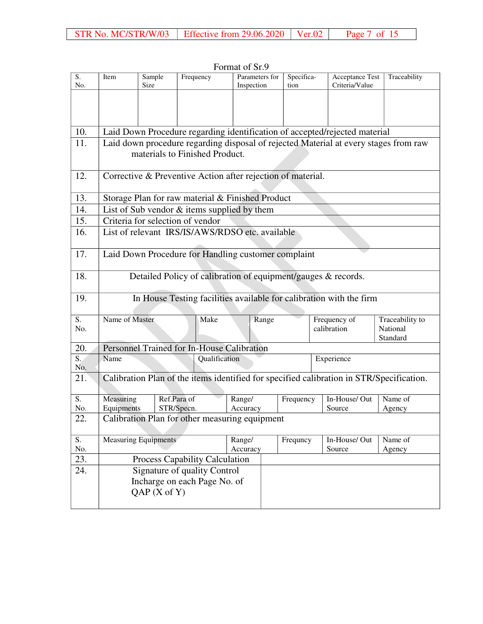|                  |                                                                            |                             |                                                               | TUTHER OF SEV  |                  |            |                                                                                          |                 |  |  |  |
|------------------|----------------------------------------------------------------------------|-----------------------------|---------------------------------------------------------------|----------------|------------------|------------|------------------------------------------------------------------------------------------|-----------------|--|--|--|
| S.               | Item                                                                       | Sample                      | Frequency                                                     | Parameters for |                  | Specifica- | Acceptance Test                                                                          | Traceability    |  |  |  |
| No.              |                                                                            | Size                        |                                                               | Inspection     |                  | tion       | Criteria/Value                                                                           |                 |  |  |  |
|                  |                                                                            |                             |                                                               |                |                  |            |                                                                                          |                 |  |  |  |
|                  |                                                                            |                             |                                                               |                |                  |            |                                                                                          |                 |  |  |  |
|                  |                                                                            |                             |                                                               |                |                  |            |                                                                                          |                 |  |  |  |
| 10.              | Laid Down Procedure regarding identification of accepted/rejected material |                             |                                                               |                |                  |            |                                                                                          |                 |  |  |  |
| 11.              |                                                                            |                             |                                                               |                |                  |            | Laid down procedure regarding disposal of rejected Material at every stages from raw     |                 |  |  |  |
|                  |                                                                            |                             | materials to Finished Product.                                |                |                  |            |                                                                                          |                 |  |  |  |
|                  |                                                                            |                             |                                                               |                |                  |            |                                                                                          |                 |  |  |  |
| 12.              |                                                                            |                             | Corrective & Preventive Action after rejection of material.   |                |                  |            |                                                                                          |                 |  |  |  |
|                  |                                                                            |                             |                                                               |                |                  |            |                                                                                          |                 |  |  |  |
|                  |                                                                            |                             |                                                               |                |                  |            |                                                                                          |                 |  |  |  |
| 13.              |                                                                            |                             | Storage Plan for raw material & Finished Product              |                |                  |            |                                                                                          |                 |  |  |  |
| 14.              |                                                                            |                             | List of Sub vendor $&$ items supplied by them                 |                |                  |            |                                                                                          |                 |  |  |  |
| 15.              |                                                                            |                             | Criteria for selection of vendor                              |                |                  |            |                                                                                          |                 |  |  |  |
| 16.              |                                                                            |                             | List of relevant IRS/IS/AWS/RDSO etc. available               |                |                  |            |                                                                                          |                 |  |  |  |
|                  |                                                                            |                             |                                                               |                |                  |            |                                                                                          |                 |  |  |  |
| 17.              |                                                                            |                             | Laid Down Procedure for Handling customer complaint           |                |                  |            |                                                                                          |                 |  |  |  |
|                  |                                                                            |                             |                                                               |                |                  |            |                                                                                          |                 |  |  |  |
| 18.              |                                                                            |                             | Detailed Policy of calibration of equipment/gauges & records. |                |                  |            |                                                                                          |                 |  |  |  |
|                  |                                                                            |                             |                                                               |                |                  |            |                                                                                          |                 |  |  |  |
| 19.              |                                                                            |                             |                                                               |                |                  |            | In House Testing facilities available for calibration with the firm                      |                 |  |  |  |
|                  |                                                                            |                             |                                                               |                |                  |            |                                                                                          |                 |  |  |  |
| S.               | Name of Master                                                             |                             | Make                                                          |                | Range            |            | Frequency of                                                                             | Traceability to |  |  |  |
| No.              |                                                                            |                             |                                                               |                |                  |            | calibration                                                                              | National        |  |  |  |
|                  |                                                                            |                             |                                                               |                |                  |            |                                                                                          | Standard        |  |  |  |
| 20.              |                                                                            |                             | Personnel Trained for In-House Calibration                    |                |                  |            |                                                                                          |                 |  |  |  |
| $\overline{S}$ . | Name                                                                       |                             | Qualification                                                 |                |                  |            | Experience                                                                               |                 |  |  |  |
| No.              |                                                                            |                             |                                                               |                |                  |            |                                                                                          |                 |  |  |  |
| 21.              |                                                                            |                             |                                                               |                |                  |            | Calibration Plan of the items identified for specified calibration in STR/Specification. |                 |  |  |  |
|                  |                                                                            |                             |                                                               |                |                  |            |                                                                                          |                 |  |  |  |
| S.               | Measuring                                                                  |                             | Ref.Para of                                                   | Range/         |                  | Frequency  | In-House/Out                                                                             | Name of         |  |  |  |
| No.              | Equipments                                                                 |                             | STR/Specn.                                                    | Accuracy       |                  |            | Source                                                                                   | Agency          |  |  |  |
| 22.              |                                                                            |                             | Calibration Plan for other measuring equipment                |                |                  |            |                                                                                          |                 |  |  |  |
|                  |                                                                            |                             |                                                               |                |                  |            |                                                                                          |                 |  |  |  |
| S.               |                                                                            | <b>Measuring Equipments</b> |                                                               | Range/         |                  | Frequncy   | In-House/Out                                                                             | Name of         |  |  |  |
| No.              |                                                                            |                             |                                                               | Accuracy       | Source<br>Agency |            |                                                                                          |                 |  |  |  |
| 23.              |                                                                            |                             | Process Capability Calculation                                |                |                  |            |                                                                                          |                 |  |  |  |
| 24.              |                                                                            |                             | Signature of quality Control                                  |                |                  |            |                                                                                          |                 |  |  |  |
|                  |                                                                            |                             | Incharge on each Page No. of                                  |                |                  |            |                                                                                          |                 |  |  |  |
|                  |                                                                            | QAP(X of Y)                 |                                                               |                |                  |            |                                                                                          |                 |  |  |  |
|                  |                                                                            |                             |                                                               |                |                  |            |                                                                                          |                 |  |  |  |

Format of Sr.9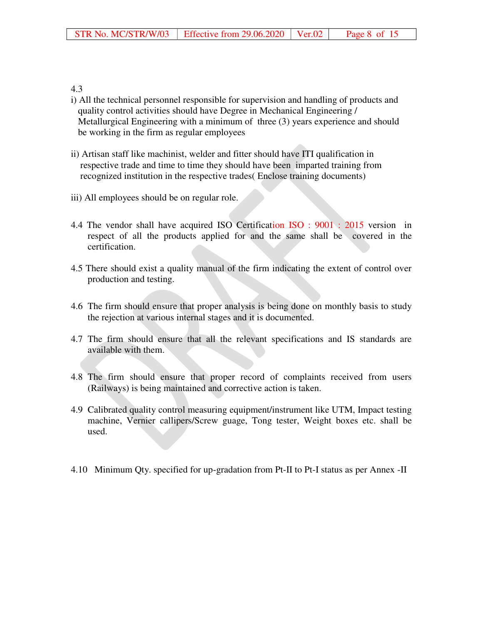#### 4.3

- i) All the technical personnel responsible for supervision and handling of products and quality control activities should have Degree in Mechanical Engineering / Metallurgical Engineering with a minimum of three (3) years experience and should be working in the firm as regular employees
- ii) Artisan staff like machinist, welder and fitter should have ITI qualification in respective trade and time to time they should have been imparted training from recognized institution in the respective trades( Enclose training documents)
- iii) All employees should be on regular role.
- 4.4 The vendor shall have acquired ISO Certification ISO : 9001 : 2015 version in respect of all the products applied for and the same shall be covered in the certification.
- 4.5 There should exist a quality manual of the firm indicating the extent of control over production and testing.
- 4.6 The firm should ensure that proper analysis is being done on monthly basis to study the rejection at various internal stages and it is documented.
- 4.7 The firm should ensure that all the relevant specifications and IS standards are available with them.
- 4.8 The firm should ensure that proper record of complaints received from users (Railways) is being maintained and corrective action is taken.
- 4.9 Calibrated quality control measuring equipment/instrument like UTM, Impact testing machine, Vernier callipers/Screw guage, Tong tester, Weight boxes etc. shall be used.
- 4.10 Minimum Qty. specified for up-gradation from Pt-II to Pt-I status as per Annex -II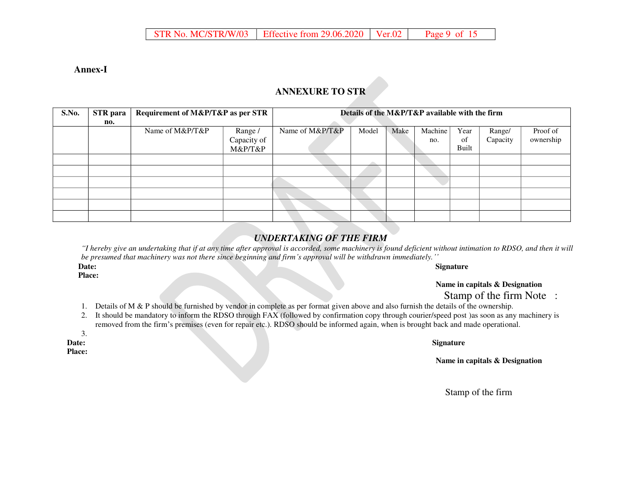#### **Annex-I**

## **ANNEXURE TO STR**

| S.No. | <b>STR</b> para | Requirement of M&P/T&P as per STR | Details of the M&P/T&P available with the firm |                 |       |      |         |       |          |           |  |
|-------|-----------------|-----------------------------------|------------------------------------------------|-----------------|-------|------|---------|-------|----------|-----------|--|
|       | no.             |                                   |                                                |                 |       |      |         |       |          |           |  |
|       |                 | Name of M&P/T&P                   | Range /                                        | Name of M&P/T&P | Model | Make | Machine | Year  | Range/   | Proof of  |  |
|       |                 |                                   | Capacity of                                    |                 |       |      | no.     | of    | Capacity | ownership |  |
|       |                 |                                   | M&P/T&P                                        |                 |       |      |         | Built |          |           |  |
|       |                 |                                   |                                                |                 |       |      |         |       |          |           |  |
|       |                 |                                   |                                                |                 |       |      |         |       |          |           |  |
|       |                 |                                   |                                                |                 |       |      |         |       |          |           |  |
|       |                 |                                   |                                                |                 |       |      |         |       |          |           |  |
|       |                 |                                   |                                                |                 |       |      |         |       |          |           |  |
|       |                 |                                   |                                                |                 |       |      |         |       |          |           |  |

## *UNDERTAKING OF THE FIRM*

*"I hereby give an undertaking that if at any time after approval is accorded, some machinery is found deficient without intimation to RDSO, and then it will be presumed that machinery was not there since beginning and firm's approval will be withdrawn immediately.''*

**Place:** 

#### **Date:** Signature **Signature Signature**

**Name in capitals & Designation** 

Stamp of the firm Note :

- 1. Details of M & P should be furnished by vendor in complete as per format given above and also furnish the details of the ownership.
- 2. It should be mandatory to inform the RDSO through FAX (followed by confirmation copy through courier/speed post )as soon as any machinery is removed from the firm's premises (even for repair etc.). RDSO should be informed again, when is brought back and made operational.

3.

**Place:** 

#### **Date:** Signature **Signature Signature Signature Signature Signature Signature**

**Name in capitals & Designation**

Stamp of the firm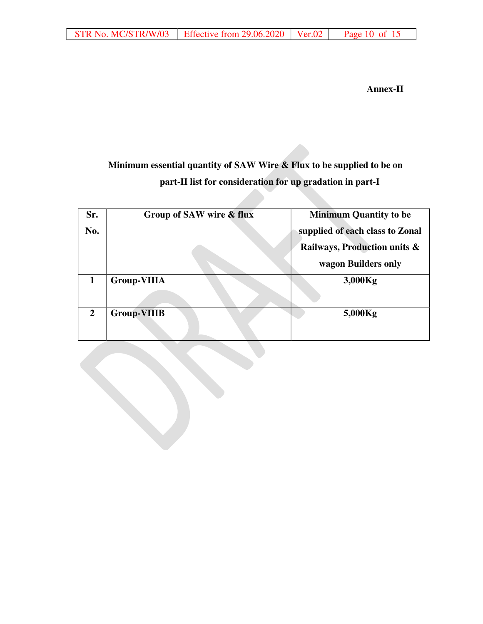**Annex-II** 

# **Minimum essential quantity of SAW Wire & Flux to be supplied to be on part-II list for consideration for up gradation in part-I**

| Sr.            | Group of SAW wire & flux | <b>Minimum Quantity to be</b>   |
|----------------|--------------------------|---------------------------------|
| No.            |                          | supplied of each class to Zonal |
|                |                          | Railways, Production units &    |
|                |                          | wagon Builders only             |
|                | <b>Group-VIIIA</b>       | 3,000Kg                         |
|                |                          |                                 |
| $\overline{2}$ | <b>Group-VIIIB</b>       | 5,000Kg                         |
|                |                          |                                 |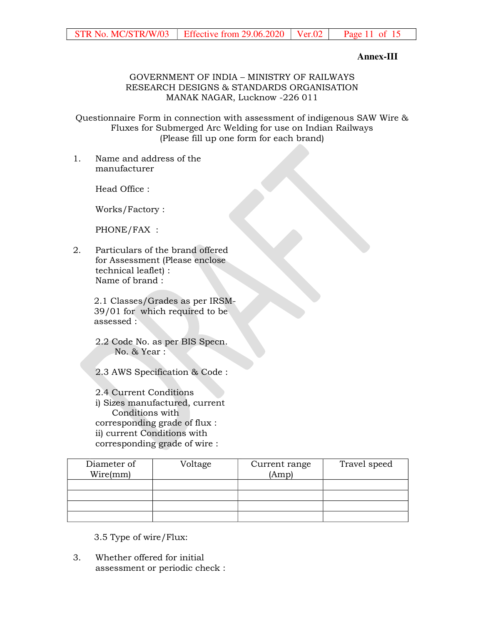## **Annex-III**

#### GOVERNMENT OF INDIA – MINISTRY OF RAILWAYS RESEARCH DESIGNS & STANDARDS ORGANISATION MANAK NAGAR, Lucknow -226 011

Questionnaire Form in connection with assessment of indigenous SAW Wire & Fluxes for Submerged Arc Welding for use on Indian Railways (Please fill up one form for each brand)

1. Name and address of the manufacturer

Head Office :

Works/Factory :

PHONE/FAX :

2. Particulars of the brand offered for Assessment (Please enclose technical leaflet) : Name of brand :

> 2.1 Classes/Grades as per IRSM-39/01 for which required to be assessed :

2.2 Code No. as per BIS Specn. No. & Year :

2.3 AWS Specification & Code :

2.4 Current Conditions i) Sizes manufactured, current Conditions with corresponding grade of flux : ii) current Conditions with corresponding grade of wire :

| Diameter of<br>Wire(mm) | Voltage | Current range<br>(Amp) | Travel speed |
|-------------------------|---------|------------------------|--------------|
|                         |         |                        |              |
|                         |         |                        |              |
|                         |         |                        |              |
|                         |         |                        |              |

3.5 Type of wire/Flux:

3. Whether offered for initial assessment or periodic check :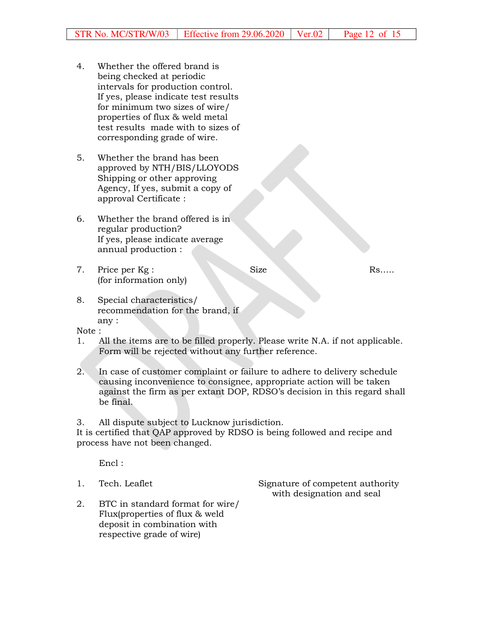- 4. Whether the offered brand is being checked at periodic intervals for production control. If yes, please indicate test results for minimum two sizes of wire/ properties of flux & weld metal test results made with to sizes of corresponding grade of wire.
- 5. Whether the brand has been approved by NTH/BIS/LLOYODS Shipping or other approving Agency, If yes, submit a copy of approval Certificate :
- 6. Whether the brand offered is in regular production? If yes, please indicate average annual production :
- 7. Price per Kg : (for information only)

Size Rs…..

8. Special characteristics/ recommendation for the brand, if any :

Note :

- 1. All the items are to be filled properly. Please write N.A. if not applicable. Form will be rejected without any further reference.
- 2. In case of customer complaint or failure to adhere to delivery schedule causing inconvenience to consignee, appropriate action will be taken against the firm as per extant DOP, RDSO's decision in this regard shall be final.
- 3. All dispute subject to Lucknow jurisdiction.

It is certified that QAP approved by RDSO is being followed and recipe and process have not been changed.

Encl :

1. Tech. Leaflet Signature of competent authority with designation and seal

2. BTC in standard format for wire/ Flux(properties of flux & weld deposit in combination with respective grade of wire)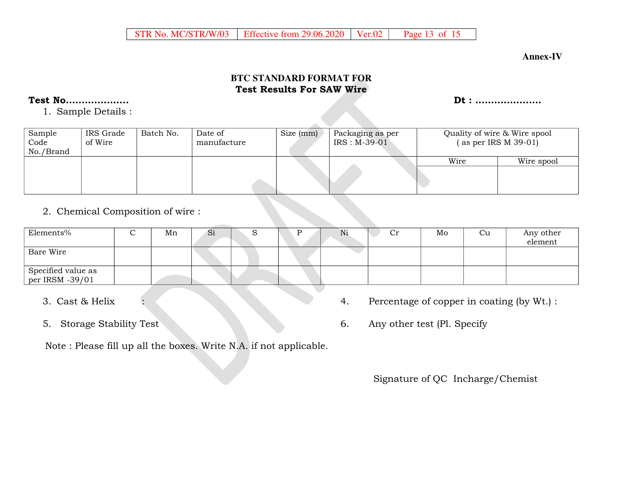#### **Annex-IV**

## **BTC STANDARD FORMAT FOR Test Results For SAW Wire**

## **Test No……………….. Dt : …………………**

1. Sample Details :

| Sample<br>Code<br>No./Brand | IRS Grade<br>of Wire | Batch No. | Date of<br>manufacture | Size (mm) | Packaging as per<br>$IRS: M-39-01$ | Quality of wire & Wire spool<br>$($ as per IRS M 39-01) |            |  |
|-----------------------------|----------------------|-----------|------------------------|-----------|------------------------------------|---------------------------------------------------------|------------|--|
|                             |                      |           |                        |           |                                    | Wire                                                    | Wire spool |  |

# 2. Chemical Composition of wire :

| Elements%                             | ∼ | Mn | $\mathbf{S}1$ |  | IN1 | Ċr | Mo | Ċu | Any other<br>element |
|---------------------------------------|---|----|---------------|--|-----|----|----|----|----------------------|
| Bare Wire                             |   |    |               |  |     |    |    |    |                      |
| Specified value as<br>per IRSM -39/01 |   |    |               |  |     |    |    |    |                      |

- 
- 
- 3. Cast & Helix : 4. Percentage of copper in coating (by Wt.) :
- 5. Storage Stability Test 6. Any other test (Pl. Specify

Note : Please fill up all the boxes. Write N.A. if not applicable.

Signature of QC Incharge/Chemist